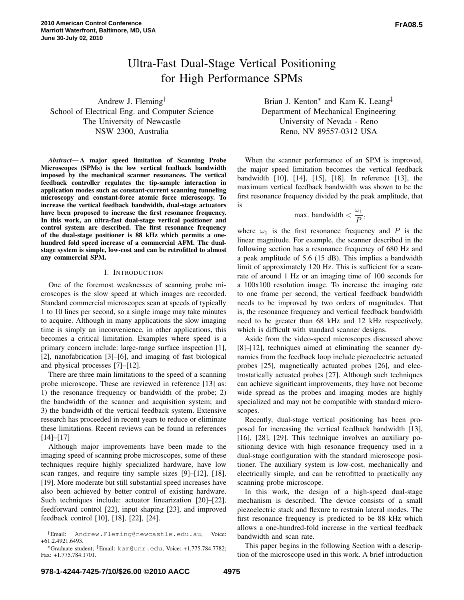# Ultra-Fast Dual-Stage Vertical Positioning for High Performance SPMs

Andrew J. Fleming† School of Electrical Eng. and Computer Science The University of Newcastle NSW 2300, Australia

*Abstract***—A major speed limitation of Scanning Probe Microscopes (SPMs) is the low vertical feedback bandwidth imposed by the mechanical scanner resonances. The vertical feedback controller regulates the tip-sample interaction in application modes such as constant-current scanning tunneling microscopy and constant-force atomic force microscopy. To increase the vertical feedback bandwidth, dual-stage actuators have been proposed to increase the first resonance frequency. In this work, an ultra-fast dual-stage vertical positioner and control system are described. The first resonance frequency of the dual-stage positioner is 88 kHz which permits a onehundred fold speed increase of a commercial AFM. The dualstage system is simple, low-cost and can be retrofitted to almost any commercial SPM.**

## I. INTRODUCTION

One of the foremost weaknesses of scanning probe microscopes is the slow speed at which images are recorded. Standard commercial microscopes scan at speeds of typically 1 to 10 lines per second, so a single image may take minutes to acquire. Although in many applications the slow imaging time is simply an inconvenience, in other applications, this becomes a critical limitation. Examples where speed is a primary concern include: large-range surface inspection [1], [2], nanofabrication [3]–[6], and imaging of fast biological and physical processes [7]–[12].

There are three main limitations to the speed of a scanning probe microscope. These are reviewed in reference [13] as: 1) the resonance frequency or bandwidth of the probe; 2) the bandwidth of the scanner and acquisition system; and 3) the bandwidth of the vertical feedback system. Extensive research has proceeded in recent years to reduce or eliminate these limitations. Recent reviews can be found in references  $[14]$ – $[17]$ 

Although major improvements have been made to the imaging speed of scanning probe microscopes, some of these techniques require highly specialized hardware, have low scan ranges, and require tiny sample sizes [9]–[12], [18], [19]. More moderate but still substantial speed increases have also been achieved by better control of existing hardware. Such techniques include: actuator linearization [20]–[22], feedforward control [22], input shaping [23], and improved feedback control [10], [18], [22], [24].

Brian J. Kenton<sup>∗</sup> and Kam K. Leang<sup>‡</sup> Department of Mechanical Engineering University of Nevada - Reno Reno, NV 89557-0312 USA

When the scanner performance of an SPM is improved, the major speed limitation becomes the vertical feedback bandwidth [10], [14], [15], [18]. In reference [13], the maximum vertical feedback bandwidth was shown to be the first resonance frequency divided by the peak amplitude, that is

$$
\text{max. bandwidth} < \frac{\omega_1}{P},
$$

where  $\omega_1$  is the first resonance frequency and P is the linear magnitude. For example, the scanner described in the following section has a resonance frequency of 680 Hz and a peak amplitude of 5.6 (15 dB). This implies a bandwidth limit of approximately 120 Hz. This is sufficient for a scanrate of around 1 Hz or an imaging time of 100 seconds for a 100x100 resolution image. To increase the imaging rate to one frame per second, the vertical feedback bandwidth needs to be improved by two orders of magnitudes. That is, the resonance frequency and vertical feedback bandwidth need to be greater than 68 kHz and 12 kHz respectively, which is difficult with standard scanner designs.

Aside from the video-speed microscopes discussed above [8]–[12], techniques aimed at eliminating the scanner dynamics from the feedback loop include piezoelectric actuated probes [25], magnetically actuated probes [26], and electrostatically actuated probes [27]. Although such techniques can achieve significant improvements, they have not become wide spread as the probes and imaging modes are highly specialized and may not be compatible with standard microscopes.

Recently, dual-stage vertical positioning has been proposed for increasing the vertical feedback bandwidth [13], [16], [28], [29]. This technique involves an auxiliary positioning device with high resonance frequency used in a dual-stage configuration with the standard microscope positioner. The auxiliary system is low-cost, mechanically and electrically simple, and can be retrofitted to practically any scanning probe microscope.

In this work, the design of a high-speed dual-stage mechanism is described. The device consists of a small piezoelectric stack and flexure to restrain lateral modes. The first resonance frequency is predicted to be 88 kHz which allows a one-hundred-fold increase in the vertical feedback bandwidth and scan rate.

This paper begins in the following Section with a description of the microscope used in this work. A brief introduction

<sup>†</sup>Email: Andrew.Fleming@newcastle.edu.au, Voice: +61.2.4921.6493.

<sup>∗</sup>Graduate student; ‡Email: kam@unr.edu, Voice: +1.775.784.7782; Fax: +1.775.784.1701.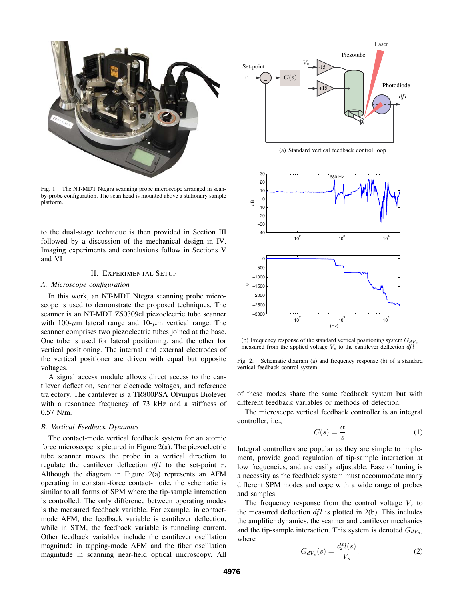

Fig. 1. The NT-MDT Ntegra scanning probe microscope arranged in scanby-probe configuration. The scan head is mounted above a stationary sample platform.

to the dual-stage technique is then provided in Section III followed by a discussion of the mechanical design in IV. Imaging experiments and conclusions follow in Sections V and VI

## II. EXPERIMENTAL SETUP

#### *A. Microscope configuration*

In this work, an NT-MDT Ntegra scanning probe microscope is used to demonstrate the proposed techniques. The scanner is an NT-MDT Z50309cl piezoelectric tube scanner with 100- $\mu$ m lateral range and 10- $\mu$ m vertical range. The scanner comprises two piezoelectric tubes joined at the base. One tube is used for lateral positioning, and the other for vertical positioning. The internal and external electrodes of the vertical positioner are driven with equal but opposite voltages.

A signal access module allows direct access to the cantilever deflection, scanner electrode voltages, and reference trajectory. The cantilever is a TR800PSA Olympus Biolever with a resonance frequency of 73 kHz and a stiffness of 0.57 N/m.

#### *B. Vertical Feedback Dynamics*

The contact-mode vertical feedback system for an atomic force microscope is pictured in Figure 2(a). The piezoelectric tube scanner moves the probe in a vertical direction to regulate the cantilever deflection  $dfl$  to the set-point r. Although the diagram in Figure 2(a) represents an AFM operating in constant-force contact-mode, the schematic is similar to all forms of SPM where the tip-sample interaction is controlled. The only difference between operating modes is the measured feedback variable. For example, in contactmode AFM, the feedback variable is cantilever deflection, while in STM, the feedback variable is tunneling current. Other feedback variables include the cantilever oscillation magnitude in tapping-mode AFM and the fiber oscillation magnitude in scanning near-field optical microscopy. All



(a) Standard vertical feedback control loop



(b) Frequency response of the standard vertical positioning system  $G_{dV_s}$ measured from the applied voltage  $V_s$  to the cantilever deflection  $dfl$ 

Fig. 2. Schematic diagram (a) and frequency response (b) of a standard vertical feedback control system

of these modes share the same feedback system but with different feedback variables or methods of detection.

The microscope vertical feedback controller is an integral controller, i.e.,

$$
C(s) = \frac{\alpha}{s} \tag{1}
$$

Integral controllers are popular as they are simple to implement, provide good regulation of tip-sample interaction at low frequencies, and are easily adjustable. Ease of tuning is a necessity as the feedback system must accommodate many different SPM modes and cope with a wide range of probes and samples.

The frequency response from the control voltage  $V_s$  to the measured deflection  $dfl$  is plotted in 2(b). This includes the amplifier dynamics, the scanner and cantilever mechanics and the tip-sample interaction. This system is denoted  $G_{dV_s}$ , where

$$
G_{dV_s}(s) = \frac{dfl(s)}{V_s}.\tag{2}
$$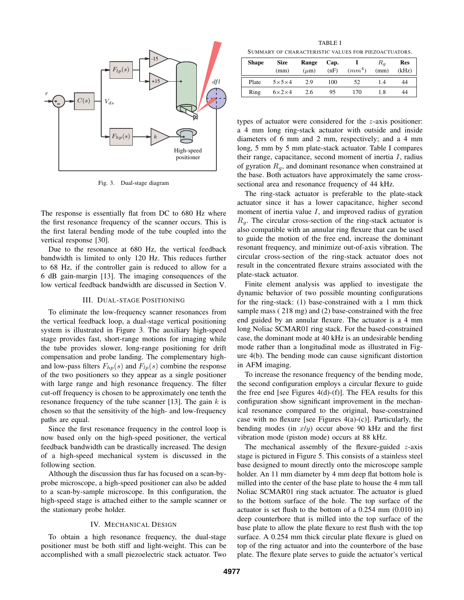

Fig. 3. Dual-stage diagram

The response is essentially flat from DC to 680 Hz where the first resonance frequency of the scanner occurs. This is the first lateral bending mode of the tube coupled into the vertical response [30].

Due to the resonance at 680 Hz, the vertical feedback bandwidth is limited to only 120 Hz. This reduces further to 68 Hz, if the controller gain is reduced to allow for a 6 dB gain-margin [13]. The imaging consequences of the low vertical feedback bandwidth are discussed in Section V.

## III. DUAL-STAGE POSITIONING

To eliminate the low-frequency scanner resonances from the vertical feedback loop, a dual-stage vertical positioning system is illustrated in Figure 3. The auxiliary high-speed stage provides fast, short-range motions for imaging while the tube provides slower, long-range positioning for drift compensation and probe landing. The complementary highand low-pass filters  $F_{hp}(s)$  and  $F_{lp}(s)$  combine the response of the two positioners so they appear as a single positioner with large range and high resonance frequency. The filter cut-off frequency is chosen to be approximately one tenth the resonance frequency of the tube scanner [13]. The gain  $k$  is chosen so that the sensitivity of the high- and low-frequency paths are equal.

Since the first resonance frequency in the control loop is now based only on the high-speed positioner, the vertical feedback bandwidth can be drastically increased. The design of a high-speed mechanical system is discussed in the following section.

Although the discussion thus far has focused on a scan-byprobe microscope, a high-speed positioner can also be added to a scan-by-sample microscope. In this configuration, the high-speed stage is attached either to the sample scanner or the stationary probe holder.

#### IV. MECHANICAL DESIGN

To obtain a high resonance frequency, the dual-stage positioner must be both stiff and light-weight. This can be accomplished with a small piezoelectric stack actuator. Two

TABLE I SUMMARY OF CHARACTERISTIC VALUES FOR PIEZOACTUATORS.

| <b>Shape</b> | <b>Size</b><br>(mm) | Range<br>$(\mu m)$ | Cap.<br>(nF) | (mm <sup>4</sup> ) | Ra<br>(mm) | <b>Res</b><br>(kHz) |
|--------------|---------------------|--------------------|--------------|--------------------|------------|---------------------|
| Plate        | $5\times5\times4$   | 2.9                | 100          | 52                 | 1.4        | 44                  |
| Ring         | $6\times2\times4$   | 2.6                | 95           | 170                | 1.8        | 44                  |

types of actuator were considered for the z-axis positioner: a 4 mm long ring-stack actuator with outside and inside diameters of 6 mm and 2 mm, respectively; and a 4 mm long, 5 mm by 5 mm plate-stack actuator. Table I compares their range, capacitance, second moment of inertia  $I$ , radius of gyration  $R_g$ , and dominant resonance when constrained at the base. Both actuators have approximately the same crosssectional area and resonance frequency of 44 kHz.

The ring-stack actuator is preferable to the plate-stack actuator since it has a lower capacitance, higher second moment of inertia value  $I$ , and improved radius of gyration  $R_q$ . The circular cross-section of the ring-stack actuator is also compatible with an annular ring flexure that can be used to guide the motion of the free end, increase the dominant resonant frequency, and minimize out-of-axis vibration. The circular cross-section of the ring-stack actuator does not result in the concentrated flexure strains associated with the plate-stack actuator.

Finite element analysis was applied to investigate the dynamic behavior of two possible mounting configurations for the ring-stack: (1) base-constrained with a 1 mm thick sample mass ( 218 mg) and (2) base-constrained with the free end guided by an annular flexure. The actuator is a 4 mm long Noliac SCMAR01 ring stack. For the based-constrained case, the dominant mode at 40 kHz is an undesirable bending mode rather than a longitudinal mode as illustrated in Figure 4(b). The bending mode can cause significant distortion in AFM imaging.

To increase the resonance frequency of the bending mode, the second configuration employs a circular flexure to guide the free end [see Figures  $4(d)-(f)$ ]. The FEA results for this configuration show significant improvement in the mechanical resonance compared to the original, base-constrained case with no flexure [see Figures  $4(a)-(c)$ ]. Particularly, the bending modes (in  $x/y$ ) occur above 90 kHz and the first vibration mode (piston mode) occurs at 88 kHz.

The mechanical assembly of the flexure-guided  $z$ -axis stage is pictured in Figure 5. This consists of a stainless steel base designed to mount directly onto the microscope sample holder. An 11 mm diameter by 4 mm deep flat bottom hole is milled into the center of the base plate to house the 4 mm tall Noliac SCMAR01 ring stack actuator. The actuator is glued to the bottom surface of the hole. The top surface of the actuator is set flush to the bottom of a 0.254 mm (0.010 in) deep counterbore that is milled into the top surface of the base plate to allow the plate flexure to rest flush with the top surface. A 0.254 mm thick circular plate flexure is glued on top of the ring actuator and into the counterbore of the base plate. The flexure plate serves to guide the actuator's vertical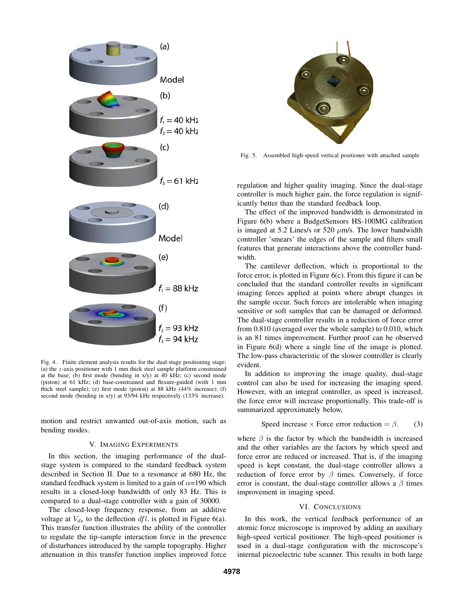

Fig. 4. Finite element analysis results for the dual-stage positioning stage: (a) the z-axis positioner with 1 mm thick steel sample platform constrained at the base; (b) first mode (bending in x/y) at 40 kHz; (c) second mode (piston) at 61 kHz; (d) base-constrained and flexure-guided (with 1 mm thick steel sample); (e) first mode (piston) at 88 kHz (44% increase); (f) second mode (bending in x/y) at 93/94 kHz respectively (133% increase).

motion and restrict unwanted out-of-axis motion, such as bending modes.

#### V. IMAGING EXPERIMENTS

In this section, the imaging performance of the dualstage system is compared to the standard feedback system described in Section II. Due to a resonance at 680 Hz, the standard feedback system is limited to a gain of  $\alpha$ =190 which results in a closed-loop bandwidth of only 83 Hz. This is compared to a dual-stage controller with a gain of 30000.

The closed-loop frequency response, from an additive voltage at  $V_{ds}$  to the deflection dfl, is plotted in Figure 6(a). This transfer function illustrates the ability of the controller to regulate the tip-sample interaction force in the presence of disturbances introduced by the sample topography. Higher attenuation in this transfer function implies improved force



Fig. 5. Assembled high-speed vertical positioner with attached sample

regulation and higher quality imaging. Since the dual-stage controller is much higher gain, the force regulation is significantly better than the standard feedback loop.

The effect of the improved bandwidth is demonstrated in Figure 6(b) where a BudgetSensors HS-100MG calibration is imaged at 5.2 Lines/s or 520  $\mu$ m/s. The lower bandwidth controller 'smears' the edges of the sample and filters small features that generate interactions above the controller bandwidth.

The cantilever deflection, which is proportional to the force error, is plotted in Figure 6(c). From this figure it can be concluded that the standard controller results in significant imaging forces applied at points where abrupt changes in the sample occur. Such forces are intolerable when imaging sensitive or soft samples that can be damaged or deformed. The dual-stage controller results in a reduction of force error from 0.810 (averaged over the whole sample) to 0.010, which is an 81 times improvement. Further proof can be observed in Figure 6(d) where a single line of the image is plotted. The low-pass characteristic of the slower controller is clearly evident.

In addition to improving the image quality, dual-stage control can also be used for increasing the imaging speed. However, with an integral controller, as speed is increased, the force error will increase proportionally. This trade-off is summarized approximately below,

Speed increase × Force error reduction = 
$$
\beta
$$
. (3)

where  $\beta$  is the factor by which the bandwidth is increased and the other variables are the factors by which speed and force error are reduced or increased. That is, if the imaging speed is kept constant, the dual-stage controller allows a reduction of force error by  $\beta$  times. Conversely, if force error is constant, the dual-stage controller allows a  $\beta$  times improvement in imaging speed.

#### VI. CONCLUSIONS

In this work, the vertical feedback performance of an atomic force microscope is improved by adding an auxiliary high-speed vertical positioner. The high-speed positioner is used in a dual-stage configuration with the microscope's internal piezoelectric tube scanner. This results in both large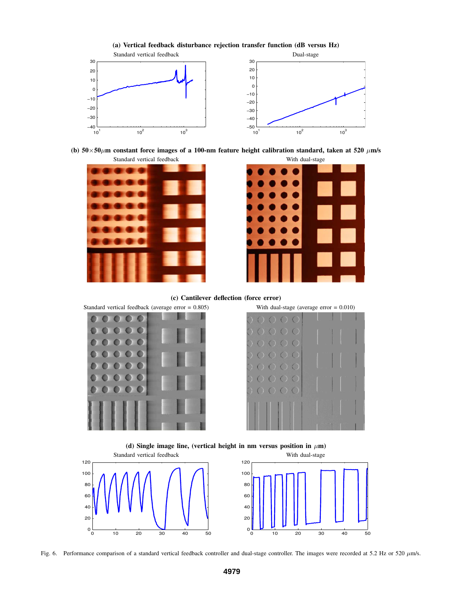

**(b)**  $50 \times 50 \mu$ m constant force images of a 100-nm feature height calibration standard, taken at  $520 \mu$ m/s





**(c) Cantilever deflection (force error)**





(d) **Single image line**, (vertical height **in** nm versus position **in**  $\mu$ **m**)



Fig. 6. Performance comparison of a standard vertical feedback controller and dual-stage controller. The images were recorded at 5.2 Hz or 520  $\mu$ m/s.